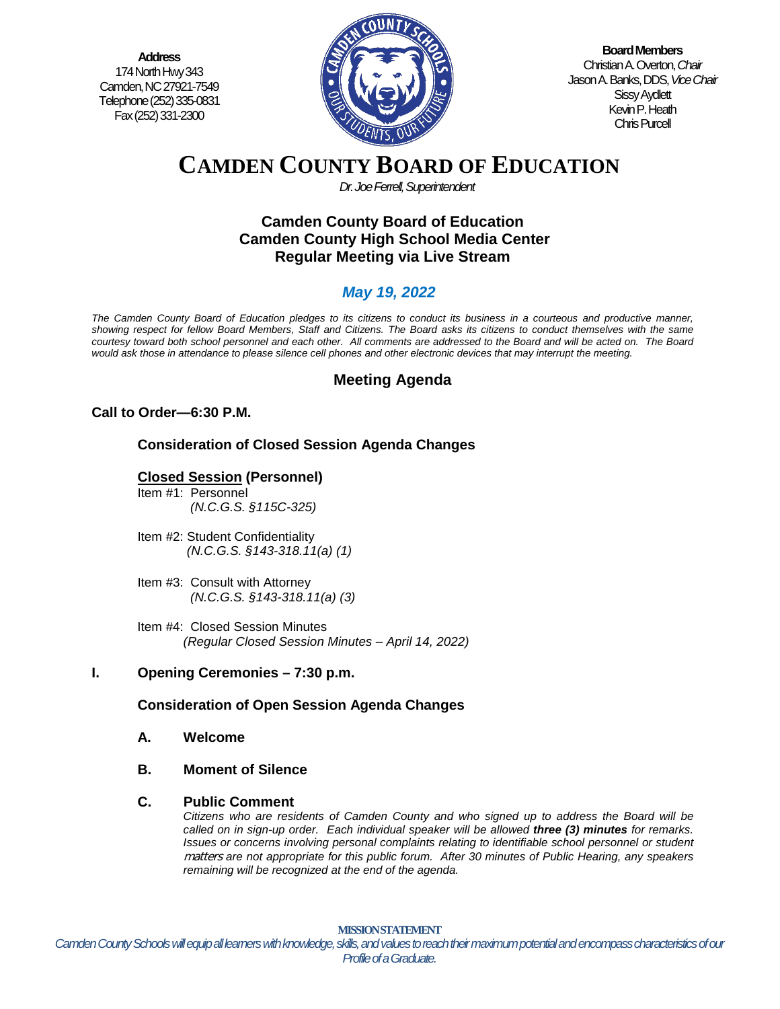**Address** 174 North Hwy 343 Camden, NC 27921-7549 Telephone (252) 335-0831 Fax (252) 331-2300



**Board Members** Christian A. Overton, *Chair* Jason A. Banks, DDS,*Vice Chair* Sissy Aydlett Kevin P. Heath Chris Purcell

# **CAMDEN COUNTY BOARD OF EDUCATION**

*Dr. Joe Ferrell, Superintendent*

# **Camden County Board of Education Camden County High School Media Center Regular Meeting via Live Stream**

# *May 19, 2022*

*The Camden County Board of Education pledges to its citizens to conduct its business in a courteous and productive manner, showing respect for fellow Board Members, Staff and Citizens. The Board asks its citizens to conduct themselves with the same courtesy toward both school personnel and each other. All comments are addressed to the Board and will be acted on. The Board would ask those in attendance to please silence cell phones and other electronic devices that may interrupt the meeting.*

# **Meeting Agenda**

# **Call to Order—6:30 P.M.**

# **Consideration of Closed Session Agenda Changes**

# **Closed Session (Personnel)**

- Item #1: Personnel *(N.C.G.S. §115C-325)*
- Item #2: Student Confidentiality *(N.C.G.S. §143-318.11(a) (1)*
- Item #3: Consult with Attorney  *(N.C.G.S. §143-318.11(a) (3)*
- Item #4: Closed Session Minutes *(Regular Closed Session Minutes – April 14, 2022)*

# **I. Opening Ceremonies – 7:30 p.m.**

# **Consideration of Open Session Agenda Changes**

- **A. Welcome**
- **B. Moment of Silence**

#### **C. Public Comment**

*Citizens who are residents of Camden County and who signed up to address the Board will be called on in sign-up order. Each individual speaker will be allowed three (3) minutes for remarks. Issues or concerns involving personal complaints relating to identifiable school personnel or student* matters *are not appropriate for this public forum. After 30 minutes of Public Hearing, any speakers remaining will be recognized at the end of the agenda.*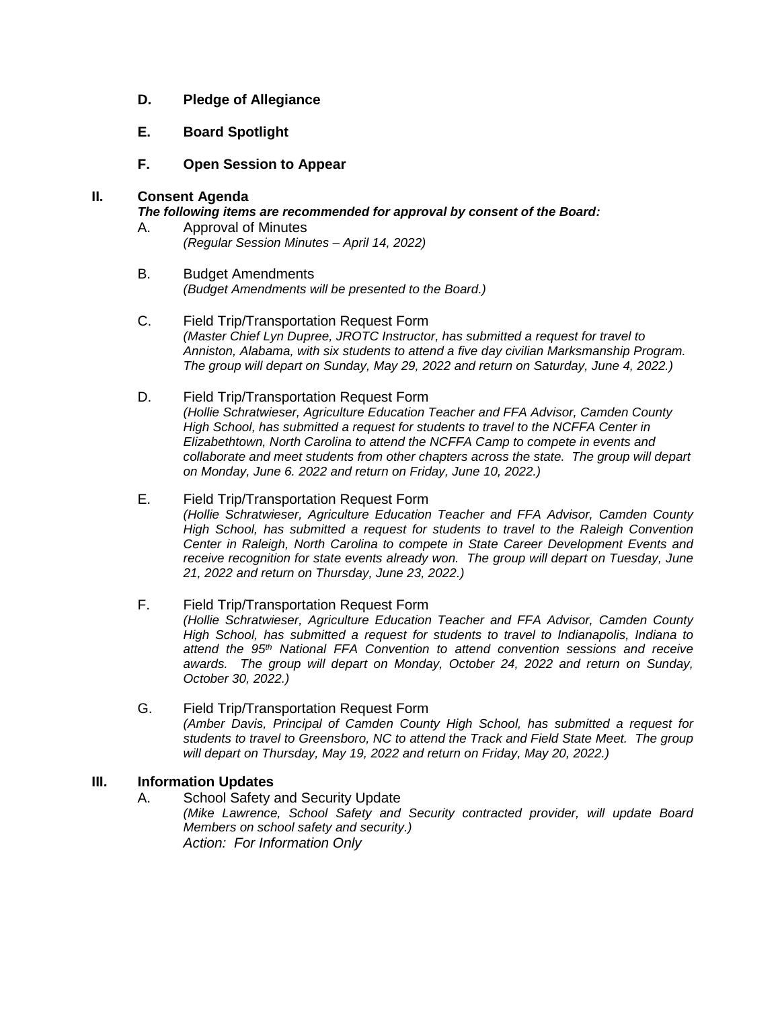## **D. Pledge of Allegiance**

### **E. Board Spotlight**

**F. Open Session to Appear**

#### **II. Consent Agenda**

#### *The following items are recommended for approval by consent of the Board:*

- A. Approval of Minutes *(Regular Session Minutes – April 14, 2022)*
- B. Budget Amendments *(Budget Amendments will be presented to the Board.)*
- C. Field Trip/Transportation Request Form *(Master Chief Lyn Dupree, JROTC Instructor, has submitted a request for travel to Anniston, Alabama, with six students to attend a five day civilian Marksmanship Program. The group will depart on Sunday, May 29, 2022 and return on Saturday, June 4, 2022.)*
- D. Field Trip/Transportation Request Form *(Hollie Schratwieser, Agriculture Education Teacher and FFA Advisor, Camden County High School, has submitted a request for students to travel to the NCFFA Center in Elizabethtown, North Carolina to attend the NCFFA Camp to compete in events and collaborate and meet students from other chapters across the state. The group will depart on Monday, June 6. 2022 and return on Friday, June 10, 2022.)*
- E. Field Trip/Transportation Request Form *(Hollie Schratwieser, Agriculture Education Teacher and FFA Advisor, Camden County High School, has submitted a request for students to travel to the Raleigh Convention Center in Raleigh, North Carolina to compete in State Career Development Events and receive recognition for state events already won. The group will depart on Tuesday, June 21, 2022 and return on Thursday, June 23, 2022.)*

#### F. Field Trip/Transportation Request Form *(Hollie Schratwieser, Agriculture Education Teacher and FFA Advisor, Camden County High School, has submitted a request for students to travel to Indianapolis, Indiana to attend the 95th National FFA Convention to attend convention sessions and receive awards. The group will depart on Monday, October 24, 2022 and return on Sunday, October 30, 2022.)*

G. Field Trip/Transportation Request Form *(Amber Davis, Principal of Camden County High School, has submitted a request for students to travel to Greensboro, NC to attend the Track and Field State Meet. The group will depart on Thursday, May 19, 2022 and return on Friday, May 20, 2022.)*

#### **III. Information Updates**

A. School Safety and Security Update *(Mike Lawrence, School Safety and Security contracted provider, will update Board Members on school safety and security.) Action: For Information Only*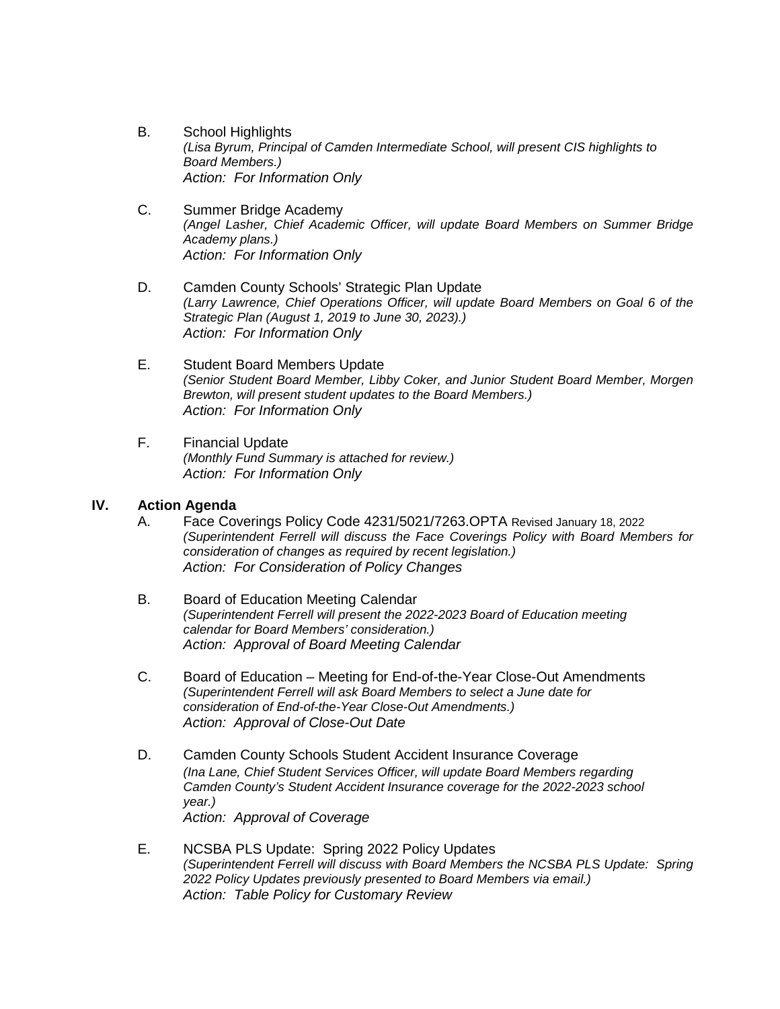- B. School Highlights *(Lisa Byrum, Principal of Camden Intermediate School, will present CIS highlights to Board Members.) Action: For Information Only*
- C. Summer Bridge Academy *(Angel Lasher, Chief Academic Officer, will update Board Members on Summer Bridge Academy plans.) Action: For Information Only*
- D. Camden County Schools' Strategic Plan Update *(Larry Lawrence, Chief Operations Officer, will update Board Members on Goal 6 of the Strategic Plan (August 1, 2019 to June 30, 2023).) Action: For Information Only*
- E. Student Board Members Update *(Senior Student Board Member, Libby Coker, and Junior Student Board Member, Morgen Brewton, will present student updates to the Board Members.) Action: For Information Only*
- F. Financial Update *(Monthly Fund Summary is attached for review.) Action: For Information Only*

#### **IV. Action Agenda**

- A. Face Coverings Policy Code 4231/5021/7263.OPTA Revised January 18, 2022 *(Superintendent Ferrell will discuss the Face Coverings Policy with Board Members for consideration of changes as required by recent legislation.) Action: For Consideration of Policy Changes*
- B. Board of Education Meeting Calendar *(Superintendent Ferrell will present the 2022-2023 Board of Education meeting calendar for Board Members' consideration.) Action: Approval of Board Meeting Calendar*
- C. Board of Education Meeting for End-of-the-Year Close-Out Amendments *(Superintendent Ferrell will ask Board Members to select a June date for consideration of End-of-the-Year Close-Out Amendments.) Action: Approval of Close-Out Date*
- D. Camden County Schools Student Accident Insurance Coverage *(Ina Lane, Chief Student Services Officer, will update Board Members regarding Camden County's Student Accident Insurance coverage for the 2022-2023 school year.) Action: Approval of Coverage*
- E. NCSBA PLS Update: Spring 2022 Policy Updates *(Superintendent Ferrell will discuss with Board Members the NCSBA PLS Update: Spring 2022 Policy Updates previously presented to Board Members via email.) Action: Table Policy for Customary Review*